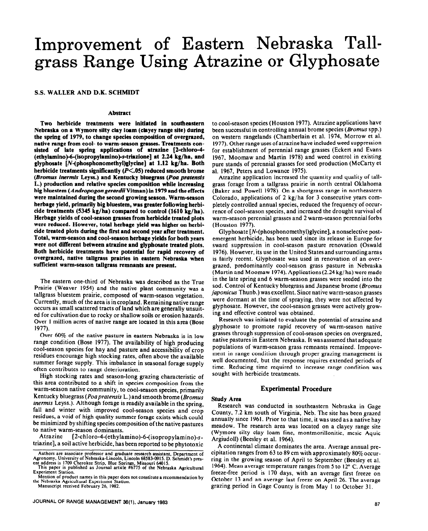# Improvement of Eastern Nebraska Tallgrass Range Using Atrazine or Glyphosate

#### **S.S. WALLER AND D.K. SCHMIDT**

#### **Abstract**

Two **herbicide treatments were initiated in southeastern Nebraska on a Wymore silty clay loam (clayey range site) during the spring of 1979, to change species composition of overgrazed, native range from cool- to warm-season grasses. Treatments consisted of late spring applications of atrazine [2-chloro-4- (ethylamino)&(isopropylamino)-s-triazione] at 2.24 kg/ha, and**  glyphosate [N-(phosphonomethyl)glycine] at 1.12 kg/ha. Both **herbicide treatments significantly (P<.O5) reduced smooth brome**  *(Bromus inermis* **Leyss.) and Kentucky bluegrass** *(Poa pratensis*  L.) **production and relative species composition while increasing big bluestem** *(Andropogongerardii* **Vitman) in 1979 and the effects were maintained during the second growing season. Warm-season herbage yield, primarily big bluestem, was greater following herbicide treatments (5345 kg/ha) compared to control (1610 kg/ha). Herbage yields of cool-season grasses from herbicide treated plots were reduced. However, total herbage yield was higher on herbicide treated plots during the first and second year after treatment. Total, warm-season and cool-season herbage yields for both years were not different between atrazine and glyphosate treated plots. Both herbicide treatments have potential for rapid recovery of overgrazed, native tallgrass prairies in eastern Nebraska when sufficient warm-season tallgrass remnants are present.** 

**The** eastern one-third of Nebraska was described as the True Prairie (Weaver 1954) and the native plant community was a tallgrass bluestem prairie, composed of warm-season vegetation. Currently, much of the area is incropland. Remaining **native** range occurs as small scattered tracts of land which are generally unsuited for cultivation due to rocky or shallow soils or erosion hazards. Over I million acres of native range are located in this area (Bose 1977).

Over 60% of the native pasture in eastern Nebraska is in low range condition (Bose 1977). The availability of high producing cool-season species for hay and pasture and accessibility of crop residues encourage high stocking rates, often above the available summer forage supply. This imbalance in seasonal forage supply often contributes to range deterioration.

High stocking rates and season-long grazing characteristic of this area contributed to a shift in species composition from the warm-season native community, to cool-season species, primarily Kentucky bluegrass (Poa pratensis L.) and smooth brome (Bromus inermis Leyss.). Although forage is readily available in the spring, fall and winter with improved cool-season species and crop residues, a void of high quality summer forage exists which could be minimized by shifting species composition ofthe native pastures to native warm-season dominants.<br>Atrazine [2-chloro-4-(ethyla

 $[2-chloro-4-(ethylamino)-6-(isoproylamino)-s$ triazine], a soil active herbicide, has been reported to be phytotoxic

**the Nebraska Agricultural Experiment Station. Manuscript received February 26, 1982.** 

to cool-season species (Houston 1977). Atrazine applications have been successful in controlling annual brome species (*Bromus* spp.) **On** western rangelands (Chamberlain et al. 1974, Morrow et al. 1977). Other range uses of atrazine have included weed suppression for establishment of perennial range grasses (Eckert and Evans 1967, Moomaw and Martin 1978) and weed control in existing pure stands of perennial grasses for seed production (McCarty et al. 1967, Peters and Lowance 1975).

Atrazine application increased the quantity and quality of tallgrass forage from a tallgrass prairie in north central Oklahoma (Baker and Powell 1978). On a shortgrass range in northeastern Colorado, applications of 2 kg/ha for 3 consecutive years completely controlled annual species, reduced the frequency of occurrence of cool-season species, and increased the drought survival of warm-season perennial grasses and 2 warm-season perennial forbs (Houston 1977).

Glyphosate [N-(phosphonomethyl)glycine], a nonselective postemergent herbicide, has been used since its release in Europe for sward suppression in cool-season pasture renovation (Oswald 1976). However, its use in the United Statesand surroundingareas is fairly recent. Glyphosate was used in renovation of an overgrazed, predominantly cool-season grass pasture in Nebraska (Martin and Moomaw 1974). Applications(2.24 kg/ ha) were made in the late spring and 6 warm-season grasses were seeded into the sod. Control of Kentucky bluegrass and Japanese brome *(Bromus juponicus* Thunb.) was excellent. Since native warm-season grasses were dormant at the time of spraying, they were not affected by glyphosate. However, the cool-season grasses were actively growing and effective control was obtained.

Research was initiated to evaluate the potential of atrazine and glyphosate to promote rapid recovery of warm-season native grasses through suppression of cool-season species on overgrazed, native pastures in Eastern Nebraska. it wasassumed that adequate populations of warm-season grass remnants remained. Improvement in range condition through proper grazing management is well documented, but the response requires extended periods of time. Reducing time required to increase range condition was sought with herbicide treatments.

# **Experimental Procedure**

# **Study Area**

Research was conducted in southeastern Nebraska in Gage County, 7.2 km south of Virginia, Neb. The site has been grazed annually since 1961. Prior to that time, it was used asa native hay meadow. The research area was located on a clayey range site (Wymore silty clay loam-fine, montmorillonitic, mesic Aquic Argiudoll) (Beesley et al. 1964).

A continental climate dominates the area. Average annual precipitation ranges from 63 to 89 cm with approximately 80% occurring in the growing season of April to September (Beesley et al. 1964). Mean average temperature ranges from 5 to 12 $\degree$  C. Average freeze-free period is 170 days, with an average first freeze on October 13 and an average last freeze on April 26. The average grazing period in Gage County is from May I to October 31.

**Authors are associate professor and graduate research assistant, Department of**  Agronomy, University of Nebraska-Lincoln, Lincoln 68583-0915. D. Schmidt's pres-

**ent address is 1709 Cherokee Strip, Blue Springs, Missouri 64015. This paper is published as Journal article #6775 of the Nebraska Agricultural Experiment Station.** 

Mention of product names in this paper does not constitute a recommendation by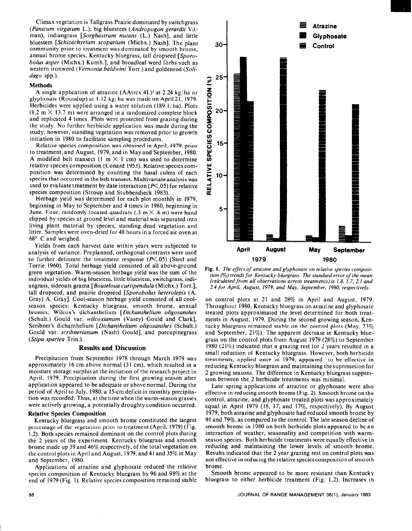Climax vegetation is Tallgrass Prairie dominated by switchgrass *(Panicum virgatum* L.), big bluestem *(Andropogon gerardii* Vitman), indiangrass *[Sorghastrum nutans* (L.) Nash], and little bluestem *[Schizachyrium scoparium (Michx.)* Nash]. The plant community prior to treatment was dominated by smooth brome, annual brome species, Kentucky bluegrass, tall dropseed *[Sporobolus asper* (Michx.) Kunth.], and broadleaf weed forbs such as western ironweed *(Vernonia baldwini* Torr.) and goldenrod *(Solidago* spp.).

#### **Methods**

A single application of atrazine (AAtrex 4L)3 at 2.24 kg/ha or glyphosate (Roundup) at I. 12 kg/ ha was made on April 21, 1979. Herbicides were applied using a water solution  $(189 \text{ 1/ha})$ . Plots  $(8.2 \text{ m} \times 13.7 \text{ m})$  were arranged in a randomized complete block and replicated 4 times. Plots were protected from grazing during the study. No further herbicide application was made during the study; however, standing vegetation was removed prior to growth initiation in 1980 to facilitate sampling procedures.

Relative species composition was obtained in April, 1979, prior to treatment, and August, 1979, and in May and September, 1980. A modified belt transect (1 m  $\times$  1 cm) was used to determine relative species composition (Conard 1953). Relative species composition was determined by counting the basal culms of each species that occurred in the belt transect. Multivariateanalysis was used to evaluate treatment by date interaction ( $P \leq .05$ ) for relative species composition (Stroup and Stubbendieck 1983).

Herbage yield was determined for each plot monthly in 1979, beginning in May to September and 4 times in 1980, beginning in June. Four, randomly located quadrats (.3 *m X* .6 m) were hand clipped by species at ground level and material was separated into living plant material by species, standing dead vegetation and litter. Samples were oven-dried for 48 hours in a forced air oven at  $68^{\circ}$  C and weighed.

Yields from each harvest date within years were subjected to analysis of variance. Preplanned, orthogonal contrasts were used to further delineate the treatment response  $(X<sub>c</sub>,05)$  (Steel and Torrie 1960). Total herbage yield consisted of all above-ground green vegetation. Warm-season herbage yield was the sum of the individual yields of big bluestem, little bluestem, switchgrass, indiangrass, sideoats grama *[Bouteloua curfipendula* (Michx.) Torr.], tall dropseed, and prairie dropseed *[Sporobolus hererolepis* (A. Gray) A. Gray]. Cool-season herbage yield consisted of all coolseason species: Kentucky bluegrass, smooth brome, annual bromes, Wilcox's dichanthelium *[Dichanrhelium oligosanthes*  (Schult.) Gould var. *wilcoxianum* (Vasey) Gould and Clark], Scribner's dichanthelium *[Dichanthekum oligosanthes* (Schult.) Gould var. *scribnerianum* (Nash) Gould], and porcupinegrass *(Stipa spartea* Trin.).

#### **Results and Discussion**

Precipitation from September 1978 through March 1979 was approximately 16 cm above normal (31 cm), which resulted in a moisture storage surplus at the initiation of the research project in April, 1979. Precipitation during the first growing season after application appeared to be adequate or above normal. During the period of April to July, 1980, a 15-cm deficit in monthly precipitation was recorded. Thus, at the time when the warm-season grasses were actively growing, a potentially droughty condition occurred.

#### **Relative Species Composition**

Kentucky bluegrass and smooth brome constituted the largest percentage of the vegetation prior to treatment (April, 1979) (Fig. 1,2). Both species remained dominant on the control plots during the 2 years of the experiment. Kentucky bluegrass and smooth brome made up 39 and 46% respectively, of the total vegetation on the control plots in April and August, 1979, and 41 and 35% in May and September, 1980.

Applications of atrazine and glyphosate reduced the relative species composition of Kentucky bluegrass by 96 and 98% at the end of **1979** (Fig. I). Relative species composition remained stable



Fig. 1. The effect of atrazine and glyphosate on relative species composi*tion (%) rrends for Kentucky bluegrass. The standard error of the mean (calculated from all observations across treatments) is 1.8. 1.7, 2.1 and 2.4 for April, August, 1979, and May, September, 1980, respectively.* 

on control plots at 21 and 28% in April and August, 1979. Throughout 1980, Kentucky bluegrass on atmzine and glyphosate treated plots approximated the level determined for both treatments in August, 1979. During the second growing season, Kentucky bluegrass remained stable on the control plots (May, 23% and September, 21%). The apparent decrease in Kentucky bluegrass on the control plots from August 1979 (28%) to September 1980 (21%) indicated that a grazing rest for 2 years resulted in a small reduction of Kentucky bluegrass. However, both herbicide treatments, applied once in 1979, appeared to be effective in reducing Kentucky bluegrass and maintaining the supressesion for 2 growing seasons. The difference in Kentucky bluegrass suppression between the 2 herbicide treatments was minimal.

Late spring applications of atrazine or glyphosate were also effective in reducing smooth brome (Fig. 2). Smooth brome on the control, atrazine, and glyphosate treated plots was approximately equal in April 1979 (18, 17, and 17%, respectively). By August 1979, both atrazine and glyphosate had reduced smooth brome by 91 and 79%, as compared to the control. The late season decline of smooth brome in 1980 on both herbicide plots appeared to be an interaction of weather, seasonality and competition with warmseason species. Both herbicide treatments were equally effective in reducing and maintaining the lower levels of smooth brome. Results indicated that the 2 year grazing rest on control plots was not effective in reducing the relative species composition of smooth brome.

Smooth brome appeared to be more resistant than Kentucky bluegrass to either herbicide treatment (Fig. 1,2). Increases in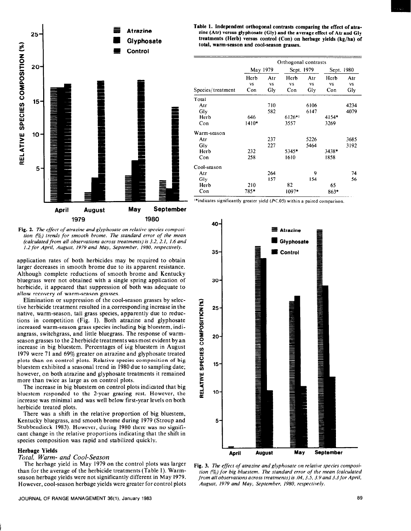

Fig. 2. The effect of atrazine and glyphosate on relative species composi*tion (%) trends for smooth brome. The standard error of the mean (calculared from all observarions across treatments) is 3.2. 2.1. 1.6 and I.2 for April, August. 1979 and May, September, 1980, respecrively.* 

application rates of both herbicides may be required to obtain larger decreases in smooth brome due to its apparent resistance. Although complete reductions of smooth brome and Kentucky bluegrass were not obtained with a single spring application of herbicide, it appeared that suppression of both was adequate to allow recovery of warm-season grasses.

Elimination or suppression of the cool-season grasses by selective herbicide treatment resulted in a.corresponding increase in the native, warm-season, tall grass species, apparently due to reductions in competition (Fig. 1). Both atrazine and glyphosate increased warm-season grass species including big bluestem, indiangrass, switchgrass, and little bluegrass. The response of warmseason grasses to the 2 herbicide treatments was most evident by an increase in big bluestem. Percentages of big bluestem in August 1979 were 71 and 69% greater on atrazine and glyphosate treated plots than on control plots. Relative species composition of big bluestem exhibited a seasonal trend in 1980 due to sampling date; however, on both atrazine and glyphosate treatments it remained more than twice as large as on control plots.

The increase in big bluestem on control plots indicated that big bluestem responded to the 2-year grazing rest. However, the increase was minimal and was well below first-year levels on both herbicide treated plots.

There was a shift in the relative proportion of big bluestem, Kentucky bluegrass, and smooth brome during 1979 (Stroup and Stubbendieck 1983). However, during 1980 there was no significant change in the relative proportions indicating that the shift in species composition was rapid and stabilized quickly.

## **Herbage Yields**

## *Total, Warm- and Cool-Season*

The herbage yield in May 1979 on the control plots was larger than for the average of the herbicide treatments (Table 1). Warm-However, cool-season herbage yields were greater for control plots *August. 1979 and May, September, 1980. respectively.* 

**Table 1. Independent orthogonal contrasts comparing the effect of atrazine (Atr) versus glyphosate (Gly) and the average effect of** Atr **and Gly treatments (Herb) versus control (Con) on herbage yields (kg/ha) of total, warm-season and cool-season grasses.** 

|                   | Orthogonal contrasts |           |            |           |            |           |  |  |
|-------------------|----------------------|-----------|------------|-----------|------------|-----------|--|--|
|                   | May 1979             |           | Sept. 1979 |           | Sept. 1980 |           |  |  |
|                   | Herb                 | Atr       | Herb       | Atr       | Herb       | Atr       |  |  |
|                   | <b>VS</b>            | <b>VS</b> | <b>VS</b>  | <b>VS</b> | VS         | <b>VS</b> |  |  |
| Species/treatment | Con                  | Gly       | Con        | Gly       | Con        | Gly       |  |  |
| Total             |                      |           |            |           |            |           |  |  |
| Atr               |                      | 710       |            | 6106      |            | 4234      |  |  |
| Gly               |                      | 582       |            | 6147      |            | 4079      |  |  |
| Herb              | 646                  |           | $6126$ *1  |           | 4154*      |           |  |  |
| Con               | $1410*$              |           | 3557       |           | 3269       |           |  |  |
| Warm-season       |                      |           |            |           |            |           |  |  |
| Atr               |                      | 237       |            | 5226      |            | 3685      |  |  |
| Gly               |                      | 227       |            | 5464      |            | 3192      |  |  |
| Herb              | 232                  |           | 5345*      |           | 3438*      |           |  |  |
| Con               | 258                  |           | 1610       |           | 1858       |           |  |  |
| Cool-season       |                      |           |            |           |            |           |  |  |
| Atr               |                      | 264       |            | 9         |            | 74        |  |  |
| Gly               |                      | 157       |            | 154       |            | 56        |  |  |
| Herb              | 210                  |           | 82         |           | 65         |           |  |  |
| Con               | 785*                 |           | $1097*$    |           | $863*$     |           |  |  |

<sup>\*</sup>indicates significantly greater yield ( $K.05$ ) within a paired comparison.



Fig. 3. *The effect of atrazine and glyphosate on relative species composi*tion (%) for big bluestem. The standard error of the mean (calculated season herbage yields were not significantly different in May **1979.** *from all observations across treatments) is* .04,3.5, 3.9 *and 3.3 for April,*